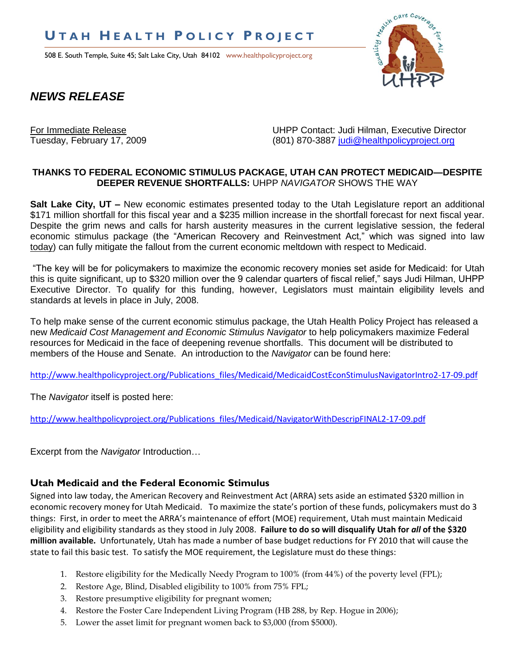# **U T A H H E A L T H P O L I C Y P R O J E C T**

508 E. South Temple, Suite 45; Salt Lake City, Utah 84102 www.healthpolicyproject.org



# *NEWS RELEASE*

For Immediate Release UHPP Contact: Judi Hilman, Executive Director Tuesday, February 17, 2009 (801) 870-3887 [judi@healthpolicyproject.org](mailto:judi@healthpolicyproject.org)

#### **THANKS TO FEDERAL ECONOMIC STIMULUS PACKAGE, UTAH CAN PROTECT MEDICAID—DESPITE DEEPER REVENUE SHORTFALLS:** UHPP *NAVIGATOR* SHOWS THE WAY

**Salt Lake City, UT –** New economic estimates presented today to the Utah Legislature report an additional \$171 million shortfall for this fiscal year and a \$235 million increase in the shortfall forecast for next fiscal year. Despite the grim news and calls for harsh austerity measures in the current legislative session, the federal economic stimulus package (the "American Recovery and Reinvestment Act," which was signed into law today) can fully mitigate the fallout from the current economic meltdown with respect to Medicaid.

"The key will be for policymakers to maximize the economic recovery monies set aside for Medicaid: for Utah this is quite significant, up to \$320 million over the 9 calendar quarters of fiscal relief," says Judi Hilman, UHPP Executive Director. To qualify for this funding, however, Legislators must maintain eligibility levels and standards at levels in place in July, 2008.

To help make sense of the current economic stimulus package, the Utah Health Policy Project has released a new *Medicaid Cost Management and Economic Stimulus Navigator* to help policymakers maximize Federal resources for Medicaid in the face of deepening revenue shortfalls. This document will be distributed to members of the House and Senate. An introduction to the *Navigator* can be found here:

[http://www.healthpolicyproject.org/Publications\\_files/Medicaid/MedicaidCostEconStimulusNavigatorIntro2-17-09.pdf](http://www.healthpolicyproject.org/Publications_files/Medicaid/MedicaidCostEconStimulusNavigatorIntro2-17-09.pdf)

The *Navigator* itself is posted here:

[http://www.healthpolicyproject.org/Publications\\_files/Medicaid/NavigatorWithDescripFINAL2-17-09.pdf](http://www.healthpolicyproject.org/Publications_files/Medicaid/NavigatorWithDescripFINAL2-17-09.pdf)

Excerpt from the *Navigator* Introduction…

### **Utah Medicaid and the Federal Economic Stimulus**

Signed into law today, the American Recovery and Reinvestment Act (ARRA) sets aside an estimated \$320 million in economic recovery money for Utah Medicaid. To maximize the state's portion of these funds, policymakers must do 3 things: First, in order to meet the ARRA's maintenance of effort (MOE) requirement, Utah must maintain Medicaid eligibility and eligibility standards as they stood in July 2008. **Failure to do so will disqualify Utah for** *all* **of the \$320 million available.** Unfortunately, Utah has made a number of base budget reductions for FY 2010 that will cause the state to fail this basic test. To satisfy the MOE requirement, the Legislature must do these things:

- 1. Restore eligibility for the Medically Needy Program to 100% (from 44%) of the poverty level (FPL);
- 2. Restore Age, Blind, Disabled eligibility to 100% from 75% FPL;
- 3. Restore presumptive eligibility for pregnant women;
- 4. Restore the Foster Care Independent Living Program (HB 288, by Rep. Hogue in 2006);
- 5. Lower the asset limit for pregnant women back to \$3,000 (from \$5000).